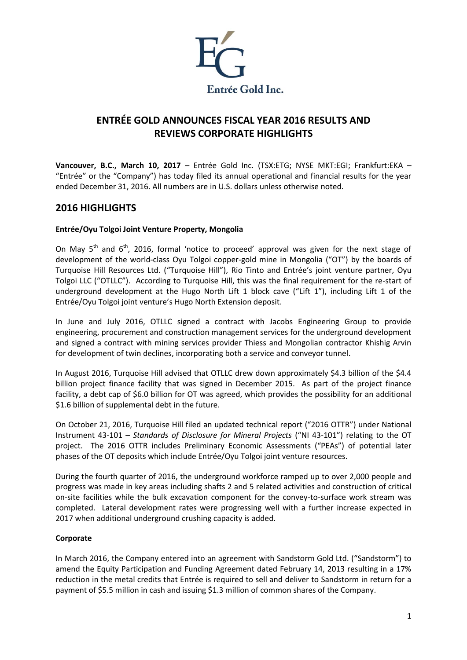

# **ENTRÉE GOLD ANNOUNCES FISCAL YEAR 2016 RESULTS AND REVIEWS CORPORATE HIGHLIGHTS**

**Vancouver, B.C., March 10, 2017** – Entrée Gold Inc. (TSX:ETG; NYSE MKT:EGI; Frankfurt:EKA – "Entrée" or the "Company") has today filed its annual operational and financial results for the year ended December 31, 2016. All numbers are in U.S. dollars unless otherwise noted.

## **2016 HIGHLIGHTS**

## **Entrée/Oyu Tolgoi Joint Venture Property, Mongolia**

On May  $5<sup>th</sup>$  and  $6<sup>th</sup>$ , 2016, formal 'notice to proceed' approval was given for the next stage of development of the world-class Oyu Tolgoi copper-gold mine in Mongolia ("OT") by the boards of Turquoise Hill Resources Ltd. ("Turquoise Hill"), Rio Tinto and Entrée's joint venture partner, Oyu Tolgoi LLC ("OTLLC"). According to Turquoise Hill, this was the final requirement for the re-start of underground development at the Hugo North Lift 1 block cave ("Lift 1"), including Lift 1 of the Entrée/Oyu Tolgoi joint venture's Hugo North Extension deposit.

In June and July 2016, OTLLC signed a contract with Jacobs Engineering Group to provide engineering, procurement and construction management services for the underground development and signed a contract with mining services provider Thiess and Mongolian contractor Khishig Arvin for development of twin declines, incorporating both a service and conveyor tunnel.

In August 2016, Turquoise Hill advised that OTLLC drew down approximately \$4.3 billion of the \$4.4 billion project finance facility that was signed in December 2015. As part of the project finance facility, a debt cap of \$6.0 billion for OT was agreed, which provides the possibility for an additional \$1.6 billion of supplemental debt in the future.

On October 21, 2016, Turquoise Hill filed an updated technical report ("2016 OTTR") under National Instrument 43-101 – *Standards of Disclosure for Mineral Projects* ("NI 43-101") relating to the OT project. The 2016 OTTR includes Preliminary Economic Assessments ("PEAs") of potential later phases of the OT deposits which include Entrée/Oyu Tolgoi joint venture resources.

During the fourth quarter of 2016, the underground workforce ramped up to over 2,000 people and progress was made in key areas including shafts 2 and 5 related activities and construction of critical on-site facilities while the bulk excavation component for the convey-to-surface work stream was completed. Lateral development rates were progressing well with a further increase expected in 2017 when additional underground crushing capacity is added.

## **Corporate**

In March 2016, the Company entered into an agreement with Sandstorm Gold Ltd. ("Sandstorm") to amend the Equity Participation and Funding Agreement dated February 14, 2013 resulting in a 17% reduction in the metal credits that Entrée is required to sell and deliver to Sandstorm in return for a payment of \$5.5 million in cash and issuing \$1.3 million of common shares of the Company.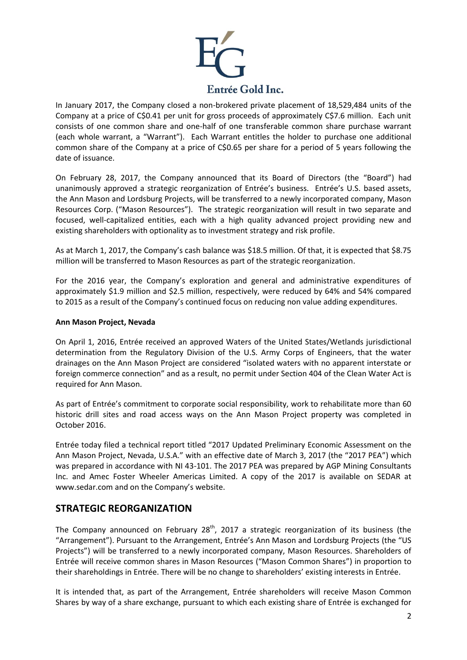

In January 2017, the Company closed a non-brokered private placement of 18,529,484 units of the Company at a price of C\$0.41 per unit for gross proceeds of approximately C\$7.6 million. Each unit consists of one common share and one-half of one transferable common share purchase warrant (each whole warrant, a "Warrant"). Each Warrant entitles the holder to purchase one additional common share of the Company at a price of C\$0.65 per share for a period of 5 years following the date of issuance.

On February 28, 2017, the Company announced that its Board of Directors (the "Board") had unanimously approved a strategic reorganization of Entrée's business. Entrée's U.S. based assets, the Ann Mason and Lordsburg Projects, will be transferred to a newly incorporated company, Mason Resources Corp. ("Mason Resources"). The strategic reorganization will result in two separate and focused, well-capitalized entities, each with a high quality advanced project providing new and existing shareholders with optionality as to investment strategy and risk profile.

As at March 1, 2017, the Company's cash balance was \$18.5 million. Of that, it is expected that \$8.75 million will be transferred to Mason Resources as part of the strategic reorganization.

For the 2016 year, the Company's exploration and general and administrative expenditures of approximately \$1.9 million and \$2.5 million, respectively, were reduced by 64% and 54% compared to 2015 as a result of the Company's continued focus on reducing non value adding expenditures.

### **Ann Mason Project, Nevada**

On April 1, 2016, Entrée received an approved Waters of the United States/Wetlands jurisdictional determination from the Regulatory Division of the U.S. Army Corps of Engineers, that the water drainages on the Ann Mason Project are considered "isolated waters with no apparent interstate or foreign commerce connection" and as a result, no permit under Section 404 of the Clean Water Act is required for Ann Mason.

As part of Entrée's commitment to corporate social responsibility, work to rehabilitate more than 60 historic drill sites and road access ways on the Ann Mason Project property was completed in October 2016.

Entrée today filed a technical report titled "2017 Updated Preliminary Economic Assessment on the Ann Mason Project, Nevada, U.S.A." with an effective date of March 3, 2017 (the "2017 PEA") which was prepared in accordance with NI 43-101. The 2017 PEA was prepared by AGP Mining Consultants Inc. and Amec Foster Wheeler Americas Limited. A copy of the 2017 is available on SEDAR at [www.sedar.com](http://www.sedar.com/) and on the Company's website.

## **STRATEGIC REORGANIZATION**

The Company announced on February 28<sup>th</sup>, 2017 a strategic reorganization of its business (the "Arrangement"). Pursuant to the Arrangement, Entrée's Ann Mason and Lordsburg Projects (the "US Projects") will be transferred to a newly incorporated company, Mason Resources. Shareholders of Entrée will receive common shares in Mason Resources ("Mason Common Shares") in proportion to their shareholdings in Entrée. There will be no change to shareholders' existing interests in Entrée.

It is intended that, as part of the Arrangement, Entrée shareholders will receive Mason Common Shares by way of a share exchange, pursuant to which each existing share of Entrée is exchanged for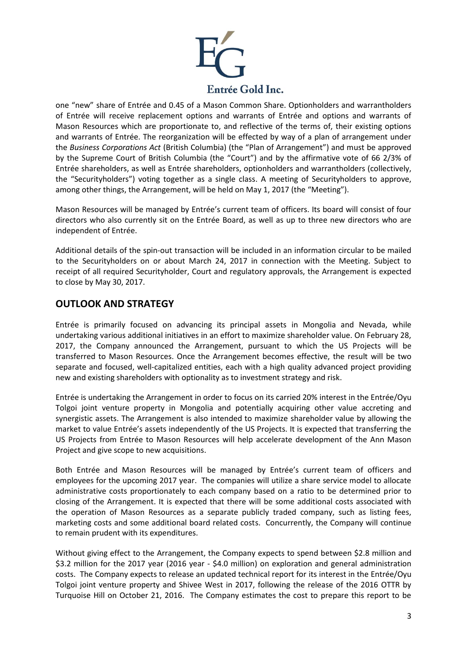

one "new" share of Entrée and 0.45 of a Mason Common Share. Optionholders and warrantholders of Entrée will receive replacement options and warrants of Entrée and options and warrants of Mason Resources which are proportionate to, and reflective of the terms of, their existing options and warrants of Entrée. The reorganization will be effected by way of a plan of arrangement under the *Business Corporations Act* (British Columbia) (the "Plan of Arrangement") and must be approved by the Supreme Court of British Columbia (the "Court") and by the affirmative vote of 66 2/3% of Entrée shareholders, as well as Entrée shareholders, optionholders and warrantholders (collectively, the "Securityholders") voting together as a single class. A meeting of Securityholders to approve, among other things, the Arrangement, will be held on May 1, 2017 (the "Meeting").

Mason Resources will be managed by Entrée's current team of officers. Its board will consist of four directors who also currently sit on the Entrée Board, as well as up to three new directors who are independent of Entrée.

Additional details of the spin-out transaction will be included in an information circular to be mailed to the Securityholders on or about March 24, 2017 in connection with the Meeting. Subject to receipt of all required Securityholder, Court and regulatory approvals, the Arrangement is expected to close by May 30, 2017.

## **OUTLOOK AND STRATEGY**

Entrée is primarily focused on advancing its principal assets in Mongolia and Nevada, while undertaking various additional initiatives in an effort to maximize shareholder value. On February 28, 2017, the Company announced the Arrangement, pursuant to which the US Projects will be transferred to Mason Resources. Once the Arrangement becomes effective, the result will be two separate and focused, well-capitalized entities, each with a high quality advanced project providing new and existing shareholders with optionality as to investment strategy and risk.

Entrée is undertaking the Arrangement in order to focus on its carried 20% interest in the Entrée/Oyu Tolgoi joint venture property in Mongolia and potentially acquiring other value accreting and synergistic assets. The Arrangement is also intended to maximize shareholder value by allowing the market to value Entrée's assets independently of the US Projects. It is expected that transferring the US Projects from Entrée to Mason Resources will help accelerate development of the Ann Mason Project and give scope to new acquisitions.

Both Entrée and Mason Resources will be managed by Entrée's current team of officers and employees for the upcoming 2017 year. The companies will utilize a share service model to allocate administrative costs proportionately to each company based on a ratio to be determined prior to closing of the Arrangement. It is expected that there will be some additional costs associated with the operation of Mason Resources as a separate publicly traded company, such as listing fees, marketing costs and some additional board related costs. Concurrently, the Company will continue to remain prudent with its expenditures.

Without giving effect to the Arrangement, the Company expects to spend between \$2.8 million and \$3.2 million for the 2017 year (2016 year - \$4.0 million) on exploration and general administration costs. The Company expects to release an updated technical report for its interest in the Entrée/Oyu Tolgoi joint venture property and Shivee West in 2017, following the release of the 2016 OTTR by Turquoise Hill on October 21, 2016. The Company estimates the cost to prepare this report to be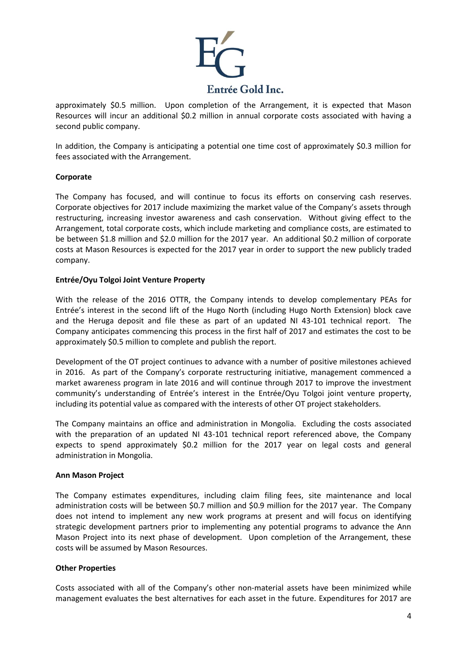

approximately \$0.5 million. Upon completion of the Arrangement, it is expected that Mason Resources will incur an additional \$0.2 million in annual corporate costs associated with having a second public company.

In addition, the Company is anticipating a potential one time cost of approximately \$0.3 million for fees associated with the Arrangement.

### **Corporate**

The Company has focused, and will continue to focus its efforts on conserving cash reserves. Corporate objectives for 2017 include maximizing the market value of the Company's assets through restructuring, increasing investor awareness and cash conservation. Without giving effect to the Arrangement, total corporate costs, which include marketing and compliance costs, are estimated to be between \$1.8 million and \$2.0 million for the 2017 year. An additional \$0.2 million of corporate costs at Mason Resources is expected for the 2017 year in order to support the new publicly traded company.

#### **Entrée/Oyu Tolgoi Joint Venture Property**

With the release of the 2016 OTTR, the Company intends to develop complementary PEAs for Entrée's interest in the second lift of the Hugo North (including Hugo North Extension) block cave and the Heruga deposit and file these as part of an updated NI 43-101 technical report. The Company anticipates commencing this process in the first half of 2017 and estimates the cost to be approximately \$0.5 million to complete and publish the report.

Development of the OT project continues to advance with a number of positive milestones achieved in 2016. As part of the Company's corporate restructuring initiative, management commenced a market awareness program in late 2016 and will continue through 2017 to improve the investment community's understanding of Entrée's interest in the Entrée/Oyu Tolgoi joint venture property, including its potential value as compared with the interests of other OT project stakeholders.

The Company maintains an office and administration in Mongolia. Excluding the costs associated with the preparation of an updated NI 43-101 technical report referenced above, the Company expects to spend approximately \$0.2 million for the 2017 year on legal costs and general administration in Mongolia.

#### **Ann Mason Project**

The Company estimates expenditures, including claim filing fees, site maintenance and local administration costs will be between \$0.7 million and \$0.9 million for the 2017 year. The Company does not intend to implement any new work programs at present and will focus on identifying strategic development partners prior to implementing any potential programs to advance the Ann Mason Project into its next phase of development. Upon completion of the Arrangement, these costs will be assumed by Mason Resources.

#### **Other Properties**

Costs associated with all of the Company's other non-material assets have been minimized while management evaluates the best alternatives for each asset in the future. Expenditures for 2017 are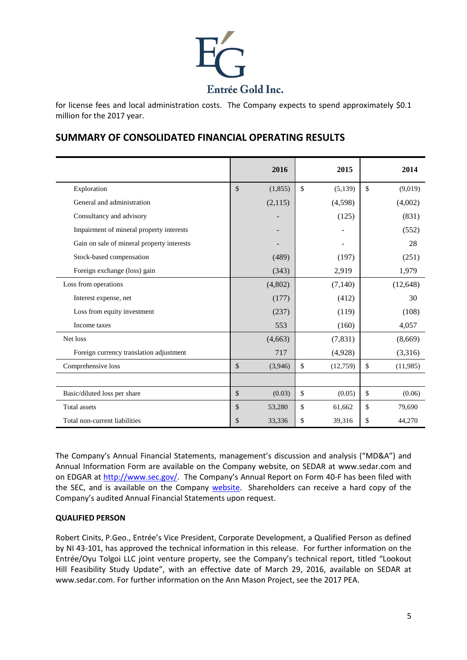

for license fees and local administration costs. The Company expects to spend approximately \$0.1 million for the 2017 year.

## **SUMMARY OF CONSOLIDATED FINANCIAL OPERATING RESULTS**

|                                            |               | 2016    | 2015           |               | 2014      |
|--------------------------------------------|---------------|---------|----------------|---------------|-----------|
| Exploration                                | $\mathbb{S}$  | (1,855) | \$<br>(5,139)  | $\mathbb{S}$  | (9,019)   |
| General and administration                 |               | (2,115) | (4,598)        |               | (4,002)   |
| Consultancy and advisory                   |               |         | (125)          |               | (831)     |
| Impairment of mineral property interests   |               |         |                |               | (552)     |
| Gain on sale of mineral property interests |               |         |                |               | 28        |
| Stock-based compensation                   |               | (489)   | (197)          |               | (251)     |
| Foreign exchange (loss) gain               |               | (343)   | 2,919          |               | 1,979     |
| Loss from operations                       |               | (4,802) | (7,140)        |               | (12, 648) |
| Interest expense, net                      |               | (177)   | (412)          |               | 30        |
| Loss from equity investment                |               | (237)   | (119)          |               | (108)     |
| Income taxes                               |               | 553     | (160)          |               | 4,057     |
| Net loss                                   |               | (4,663) | (7,831)        |               | (8,669)   |
| Foreign currency translation adjustment    |               | 717     | (4,928)        |               | (3,316)   |
| Comprehensive loss                         | $\sqrt{\ }$   | (3,946) | \$<br>(12,759) | \$            | (11,985)  |
|                                            |               |         |                |               |           |
| Basic/diluted loss per share               | $\mathcal{S}$ | (0.03)  | \$<br>(0.05)   | $\mathsf{\$}$ | (0.06)    |
| <b>Total</b> assets                        | $\mathcal{S}$ | 53,280  | \$<br>61,662   | \$            | 79,690    |
| Total non-current liabilities              | \$            | 33,336  | \$<br>39,316   | \$            | 44,270    |

The Company's Annual Financial Statements, management's discussion and analysis ("MD&A") and Annual Information Form are available on the Company website, on SEDAR at [www.sedar.com](http://www.sedar.com/) and on EDGAR at [http://www.sec.gov/.](http://www.sec.gov/) The Company's Annual Report on Form 40-F has been filed with the SEC, and is available on the Company [website.](http://www.entreegold.com/) Shareholders can receive a hard copy of the Company's audited Annual Financial Statements upon request.

## **QUALIFIED PERSON**

Robert Cinits, P.Geo., Entrée's Vice President, Corporate Development, a Qualified Person as defined by NI 43-101, has approved the technical information in this release. For further information on the Entrée/Oyu Tolgoi LLC joint venture property, see the Company's technical report, titled "Lookout Hill Feasibility Study Update", with an effective date of March 29, 2016, available on SEDAR at [www.sedar.com.](http://www.sedar.com/) For further information on the Ann Mason Project, see the 2017 PEA.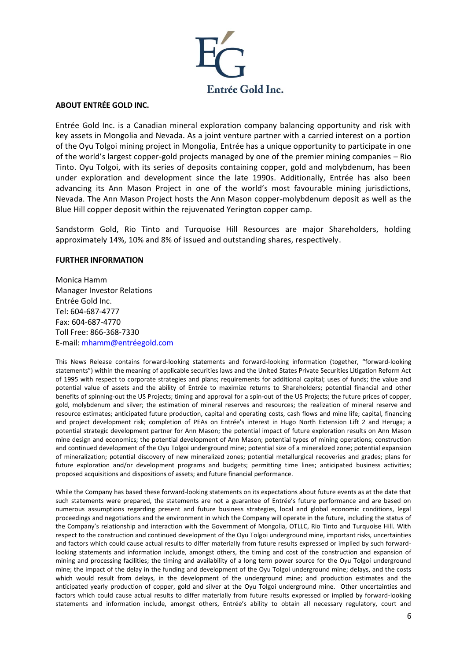

#### **ABOUT ENTRÉE GOLD INC.**

Entrée Gold Inc. is a Canadian mineral exploration company balancing opportunity and risk with key assets in Mongolia and Nevada. As a joint venture partner with a carried interest on a portion of the Oyu Tolgoi mining project in Mongolia, Entrée has a unique opportunity to participate in one of the world's largest copper-gold projects managed by one of the premier mining companies – Rio Tinto. Oyu Tolgoi, with its series of deposits containing copper, gold and molybdenum, has been under exploration and development since the late 1990s. Additionally, Entrée has also been advancing its Ann Mason Project in one of the world's most favourable mining jurisdictions, Nevada. The Ann Mason Project hosts the Ann Mason copper-molybdenum deposit as well as the Blue Hill copper deposit within the rejuvenated Yerington copper camp.

Sandstorm Gold, Rio Tinto and Turquoise Hill Resources are major Shareholders, holding approximately 14%, 10% and 8% of issued and outstanding shares, respectively.

#### **FURTHER INFORMATION**

Monica Hamm Manager Investor Relations Entrée Gold Inc. Tel: 604-687-4777 Fax: 604-687-4770 Toll Free: 866-368-7330 E-mail: [mhamm@entréegold.com](mailto:mhamm@entréegold.com)

This News Release contains forward-looking statements and forward-looking information (together, "forward-looking statements") within the meaning of applicable securities laws and the United States Private Securities Litigation Reform Act of 1995 with respect to corporate strategies and plans; requirements for additional capital; uses of funds; the value and potential value of assets and the ability of Entrée to maximize returns to Shareholders; potential financial and other benefits of spinning-out the US Projects; timing and approval for a spin-out of the US Projects; the future prices of copper, gold, molybdenum and silver; the estimation of mineral reserves and resources; the realization of mineral reserve and resource estimates; anticipated future production, capital and operating costs, cash flows and mine life; capital, financing and project development risk; completion of PEAs on Entrée's interest in Hugo North Extension Lift 2 and Heruga; a potential strategic development partner for Ann Mason; the potential impact of future exploration results on Ann Mason mine design and economics; the potential development of Ann Mason; potential types of mining operations; construction and continued development of the Oyu Tolgoi underground mine; potential size of a mineralized zone; potential expansion of mineralization; potential discovery of new mineralized zones; potential metallurgical recoveries and grades; plans for future exploration and/or development programs and budgets; permitting time lines; anticipated business activities; proposed acquisitions and dispositions of assets; and future financial performance.

While the Company has based these forward-looking statements on its expectations about future events as at the date that such statements were prepared, the statements are not a guarantee of Entrée's future performance and are based on numerous assumptions regarding present and future business strategies, local and global economic conditions, legal proceedings and negotiations and the environment in which the Company will operate in the future, including the status of the Company's relationship and interaction with the Government of Mongolia, OTLLC, Rio Tinto and Turquoise Hill. With respect to the construction and continued development of the Oyu Tolgoi underground mine, important risks, uncertainties and factors which could cause actual results to differ materially from future results expressed or implied by such forwardlooking statements and information include, amongst others, the timing and cost of the construction and expansion of mining and processing facilities; the timing and availability of a long term power source for the Oyu Tolgoi underground mine; the impact of the delay in the funding and development of the Oyu Tolgoi underground mine; delays, and the costs which would result from delays, in the development of the underground mine; and production estimates and the anticipated yearly production of copper, gold and silver at the Oyu Tolgoi underground mine. Other uncertainties and factors which could cause actual results to differ materially from future results expressed or implied by forward-looking statements and information include, amongst others, Entrée's ability to obtain all necessary regulatory, court and